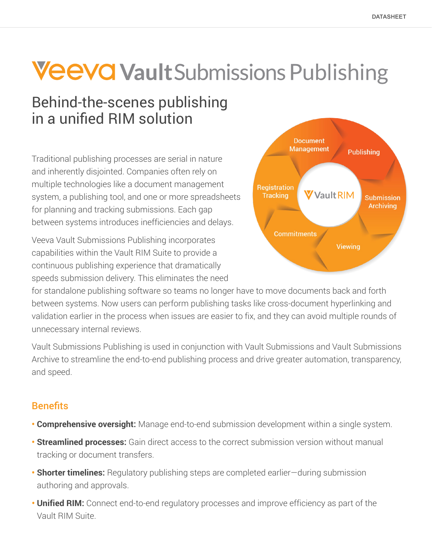# **Veeva VaultSubmissions Publishing**

# Behind-the-scenes publishing in a unified RIM solution

Traditional publishing processes are serial in nature and inherently disjointed. Companies often rely on multiple technologies like a document management system, a publishing tool, and one or more spreadsheets for planning and tracking submissions. Each gap between systems introduces inefficiencies and delays.

Veeva Vault Submissions Publishing incorporates capabilities within the Vault RIM Suite to provide a continuous publishing experience that dramatically speeds submission delivery. This eliminates the need



for standalone publishing software so teams no longer have to move documents back and forth between systems. Now users can perform publishing tasks like cross-document hyperlinking and validation earlier in the process when issues are easier to fix, and they can avoid multiple rounds of unnecessary internal reviews.

Vault Submissions Publishing is used in conjunction with Vault Submissions and Vault Submissions Archive to streamline the end-to-end publishing process and drive greater automation, transparency, and speed.

# **Benefits**

- **Comprehensive oversight:** Manage end-to-end submission development within a single system.
- **• Streamlined processes:** Gain direct access to the correct submission version without manual tracking or document transfers.
- **• Shorter timelines:** Regulatory publishing steps are completed earlier—during submission authoring and approvals.
- **• Unified RIM:** Connect end-to-end regulatory processes and improve efficiency as part of the Vault RIM Suite.